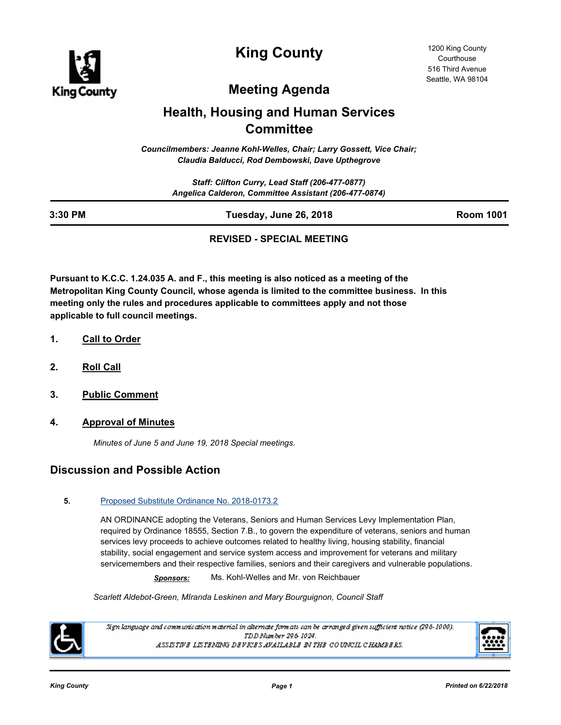

**King County**

# **Meeting Agenda**

### **Health, Housing and Human Services Committee**

*Councilmembers: Jeanne Kohl-Welles, Chair; Larry Gossett, Vice Chair; Claudia Balducci, Rod Dembowski, Dave Upthegrove*

| 3:30 PM | Tuesday, June 26, 2018                                                                                   | <b>Room 1001</b> |
|---------|----------------------------------------------------------------------------------------------------------|------------------|
|         | Staff: Clifton Curry, Lead Staff (206-477-0877)<br>Angelica Calderon, Committee Assistant (206-477-0874) |                  |

#### **REVISED - SPECIAL MEETING**

**Pursuant to K.C.C. 1.24.035 A. and F., this meeting is also noticed as a meeting of the Metropolitan King County Council, whose agenda is limited to the committee business. In this meeting only the rules and procedures applicable to committees apply and not those applicable to full council meetings.**

- **1. Call to Order**
- **2. Roll Call**
- **3. Public Comment**
- **4. Approval of Minutes**

*Minutes of June 5 and June 19, 2018 Special meetings.*

### **Discussion and Possible Action**

#### **5.** [Proposed Substitute Ordinance No. 2018-0173.2](http://kingcounty.legistar.com/gateway.aspx?m=l&id=/matter.aspx?key=19108)

AN ORDINANCE adopting the Veterans, Seniors and Human Services Levy Implementation Plan, required by Ordinance 18555, Section 7.B., to govern the expenditure of veterans, seniors and human services levy proceeds to achieve outcomes related to healthy living, housing stability, financial stability, social engagement and service system access and improvement for veterans and military servicemembers and their respective families, seniors and their caregivers and vulnerable populations.

*Sponsors:* Ms. Kohl-Welles and Mr. von Reichbauer

*Scarlett Aldebot-Green, MIranda Leskinen and Mary Bourguignon, Council Staff*



Sign language and communication material in alternate formats can be arranged given sufficient notice (296-1000). TDD Number 296-1024. ASSISTIVE LISTENING DEVICES AVAILABLE IN THE COUNCIL CHAMBERS.